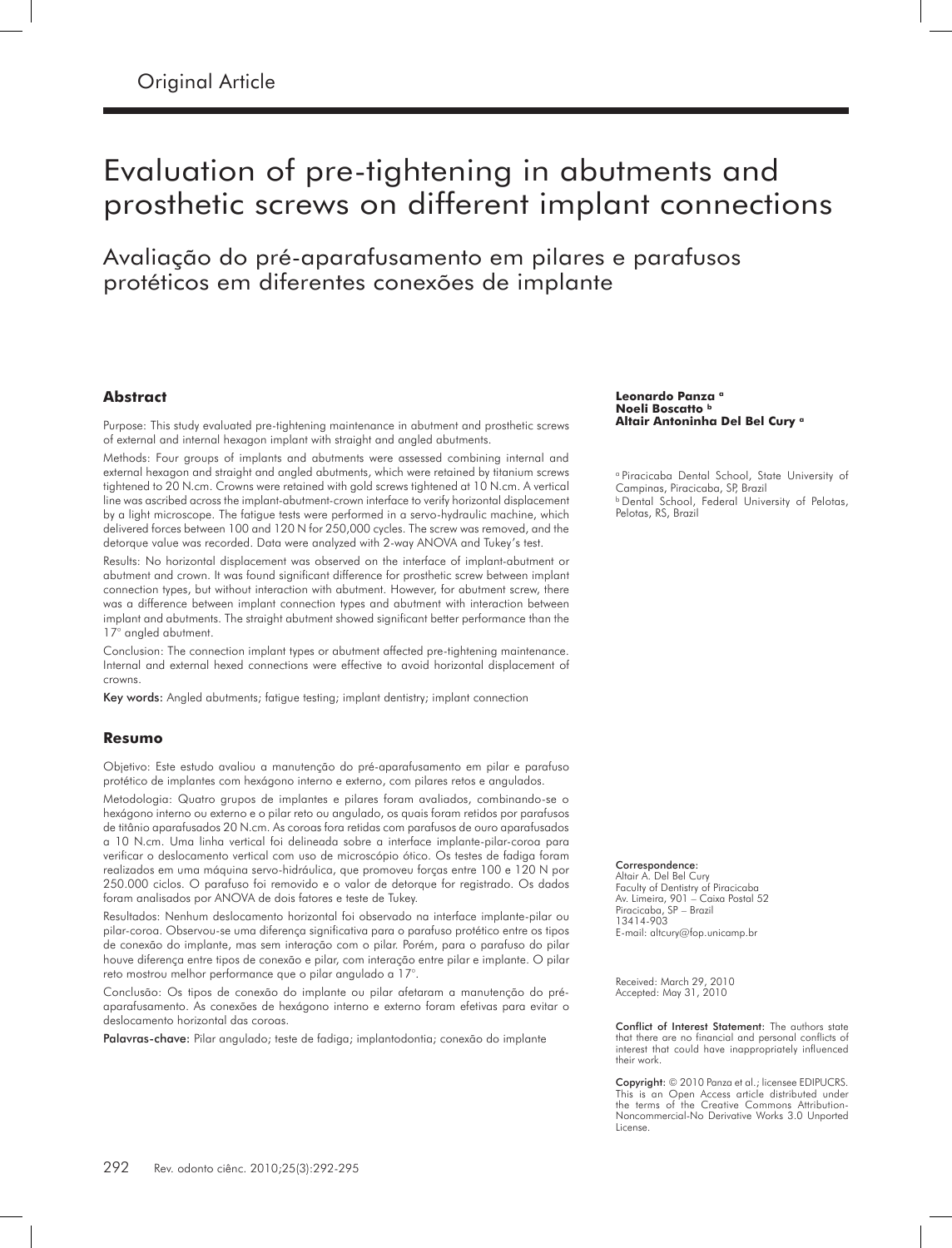# Evaluation of pre-tightening in abutments and prosthetic screws on different implant connections

Avaliação do pré-aparafusamento em pilares e parafusos protéticos em diferentes conexões de implante

#### **Abstract**

Purpose: This study evaluated pre-tightening maintenance in abutment and prosthetic screws of external and internal hexagon implant with straight and angled abutments.

Methods: Four groups of implants and abutments were assessed combining internal and external hexagon and straight and angled abutments, which were retained by titanium screws tightened to 20 N.cm. Crowns were retained with gold screws tightened at 10 N.cm. A vertical line was ascribed across the implant-abutment-crown interface to verify horizontal displacement by a light microscope. The fatigue tests were performed in a servo-hydraulic machine, which delivered forces between 100 and 120 N for 250,000 cycles. The screw was removed, and the detorque value was recorded. Data were analyzed with 2-way ANOVA and Tukey's test.

Results: No horizontal displacement was observed on the interface of implant-abutment or abutment and crown. It was found significant difference for prosthetic screw between implant connection types, but without interaction with abutment. However, for abutment screw, there was a difference between implant connection types and abutment with interaction between implant and abutments. The straight abutment showed significant better performance than the 17° angled abutment.

Conclusion: The connection implant types or abutment affected pre-tightening maintenance. Internal and external hexed connections were effective to avoid horizontal displacement of crowns.

Key words: Angled abutments; fatigue testing; implant dentistry; implant connection

#### **Resumo**

Objetivo: Este estudo avaliou a manutenção do pré-aparafusamento em pilar e parafuso protético de implantes com hexágono interno e externo, com pilares retos e angulados.

Metodologia: Quatro grupos de implantes e pilares foram avaliados, combinando-se o hexágono interno ou externo e o pilar reto ou angulado, os quais foram retidos por parafusos de titânio aparafusados 20 N.cm. As coroas fora retidas com parafusos de ouro aparafusados a 10 N.cm. Uma linha vertical foi delineada sobre a interface implante-pilar-coroa para verificar o deslocamento vertical com uso de microscópio ótico. Os testes de fadiga foram realizados em uma máquina servo-hidráulica, que promoveu forças entre 100 e 120 N por 250.000 ciclos. O parafuso foi removido e o valor de detorque for registrado. Os dados foram analisados por ANOVA de dois fatores e teste de Tukey.

Resultados: Nenhum deslocamento horizontal foi observado na interface implante-pilar ou pilar-coroa. Observou-se uma diferença significativa para o parafuso protético entre os tipos de conexão do implante, mas sem interação com o pilar. Porém, para o parafuso do pilar houve diferença entre tipos de conexão e pilar, com interação entre pilar e implante. O pilar reto mostrou melhor performance que o pilar angulado a 17°.

Conclusão: Os tipos de conexão do implante ou pilar afetaram a manutenção do préaparafusamento. As conexões de hexágono interno e externo foram efetivas para evitar o deslocamento horizontal das coroas.

Palavras-chave: Pilar angulado; teste de fadiga; implantodontia; conexão do implante

#### Leonardo Panza **a Noeli Boscatto b Altair Antoninha Del Bel Cury a**

<sup>a</sup> Piracicaba Dental School, State University of Campinas, Piracicaba, SP, Brazil **b Dental School, Federal University of Pelotas,** Pelotas, RS, Brazil

#### Correspondence:

Altair A. Del Bel Cury Faculty of Dentistry of Piracicaba Av. Limeira, 901 – Caixa Postal 52 Piracicaba, SP – Brazil 13414-903 E-mail: altcury@fop.unicamp.br

Received: March 29, 2010 Accepted: May 31, 2010

Conflict of Interest Statement: The authors state that there are no financial and personal conflicts of interest that could have inappropriately influenced their work.

Copyright: © 2010 Panza et al.; licensee EDIPUCRS. This is an Open Access article distributed under the terms of the Creative Commons Attribution-Noncommercial-No Derivative Works 3.0 Unported License.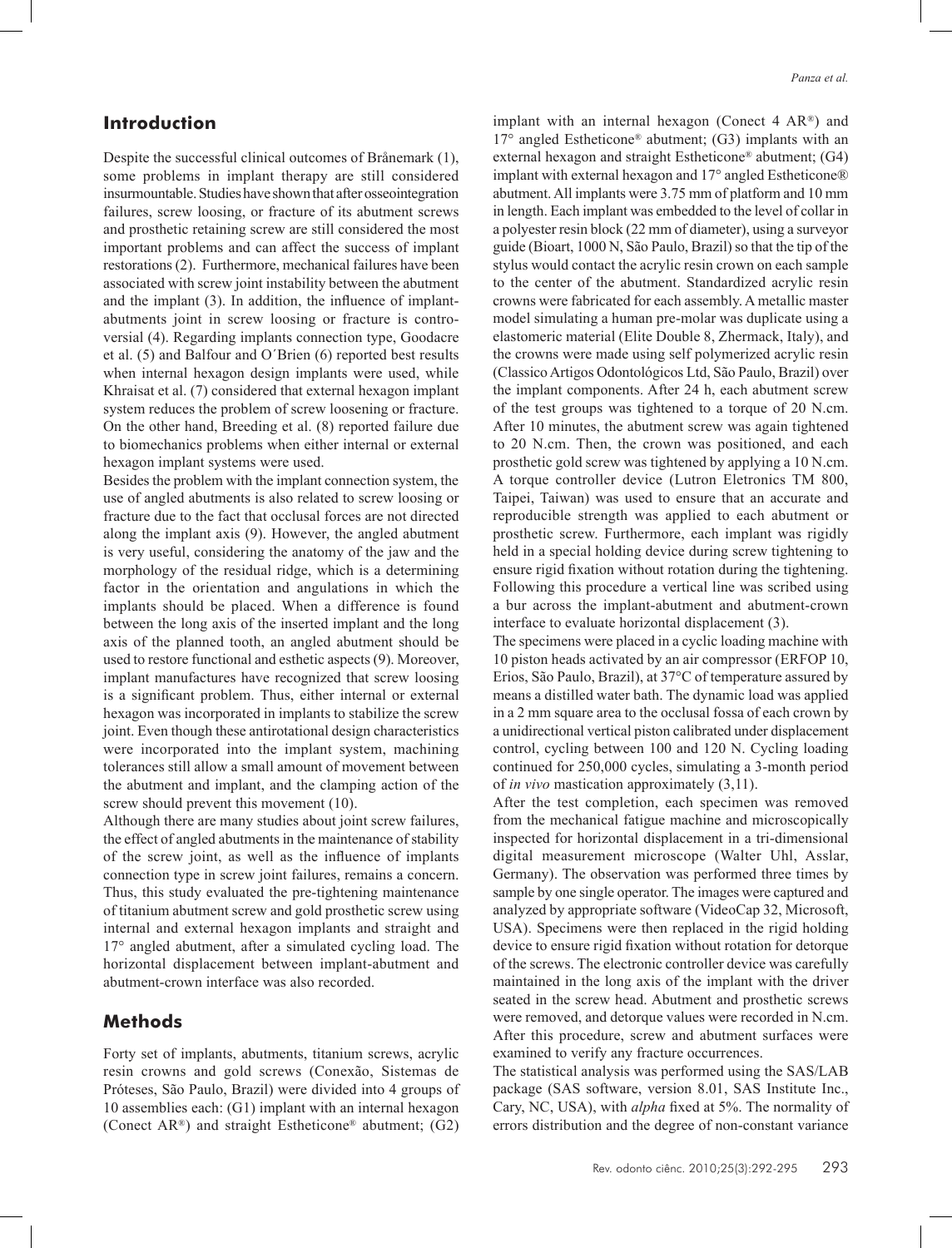# **Introduction**

Despite the successful clinical outcomes of Brånemark (1), some problems in implant therapy are still considered insurmountable. Studies have shown that after osseointegration failures, screw loosing, or fracture of its abutment screws and prosthetic retaining screw are still considered the most important problems and can affect the success of implant restorations (2). Furthermore, mechanical failures have been associated with screw joint instability between the abutment and the implant (3). In addition, the influence of implantabutments joint in screw loosing or fracture is controversial (4). Regarding implants connection type, Goodacre et al. (5) and Balfour and O´Brien (6) reported best results when internal hexagon design implants were used, while Khraisat et al. (7) considered that external hexagon implant system reduces the problem of screw loosening or fracture. On the other hand, Breeding et al. (8) reported failure due to biomechanics problems when either internal or external hexagon implant systems were used.

Besides the problem with the implant connection system, the use of angled abutments is also related to screw loosing or fracture due to the fact that occlusal forces are not directed along the implant axis (9). However, the angled abutment is very useful, considering the anatomy of the jaw and the morphology of the residual ridge, which is a determining factor in the orientation and angulations in which the implants should be placed. When a difference is found between the long axis of the inserted implant and the long axis of the planned tooth, an angled abutment should be used to restore functional and esthetic aspects (9). Moreover, implant manufactures have recognized that screw loosing is a significant problem. Thus, either internal or external hexagon was incorporated in implants to stabilize the screw joint. Even though these antirotational design characteristics were incorporated into the implant system, machining tolerances still allow a small amount of movement between the abutment and implant, and the clamping action of the screw should prevent this movement (10).

Although there are many studies about joint screw failures, the effect of angled abutments in the maintenance of stability of the screw joint, as well as the influence of implants connection type in screw joint failures, remains a concern. Thus, this study evaluated the pre-tightening maintenance of titanium abutment screw and gold prosthetic screw using internal and external hexagon implants and straight and 17° angled abutment, after a simulated cycling load. The horizontal displacement between implant-abutment and abutment-crown interface was also recorded.

### **Methods**

Forty set of implants, abutments, titanium screws, acrylic resin crowns and gold screws (Conexão, Sistemas de Próteses, São Paulo, Brazil) were divided into 4 groups of 10 assemblies each: (G1) implant with an internal hexagon (Conect AR<sup>®</sup>) and straight Estheticone<sup>®</sup> abutment; (G2)

implant with an internal hexagon (Conect 4 AR®) and 17° angled Estheticone® abutment; (G3) implants with an external hexagon and straight Estheticone® abutment; (G4) implant with external hexagon and 17° angled Estheticone® abutment. All implants were 3.75 mm of platform and 10 mm in length. Each implant was embedded to the level of collar in a polyester resin block (22 mm of diameter), using a surveyor guide (Bioart, 1000 N, São Paulo, Brazil) so that the tip of the stylus would contact the acrylic resin crown on each sample to the center of the abutment. Standardized acrylic resin crowns were fabricated for each assembly. A metallic master model simulating a human pre-molar was duplicate using a elastomeric material (Elite Double 8, Zhermack, Italy), and the crowns were made using self polymerized acrylic resin (Classico Artigos Odontológicos Ltd, São Paulo, Brazil) over the implant components. After 24 h, each abutment screw of the test groups was tightened to a torque of 20 N.cm. After 10 minutes, the abutment screw was again tightened to 20 N.cm. Then, the crown was positioned, and each prosthetic gold screw was tightened by applying a 10 N.cm. A torque controller device (Lutron Eletronics TM 800, Taipei, Taiwan) was used to ensure that an accurate and reproducible strength was applied to each abutment or prosthetic screw. Furthermore, each implant was rigidly held in a special holding device during screw tightening to ensure rigid fixation without rotation during the tightening. Following this procedure a vertical line was scribed using a bur across the implant-abutment and abutment-crown interface to evaluate horizontal displacement (3).

The specimens were placed in a cyclic loading machine with 10 piston heads activated by an air compressor (ERFOP 10, Erios, São Paulo, Brazil), at 37°C of temperature assured by means a distilled water bath. The dynamic load was applied in a 2 mm square area to the occlusal fossa of each crown by a unidirectional vertical piston calibrated under displacement control, cycling between 100 and 120 N. Cycling loading continued for 250,000 cycles, simulating a 3-month period of *in vivo* mastication approximately (3,11).

After the test completion, each specimen was removed from the mechanical fatigue machine and microscopically inspected for horizontal displacement in a tri-dimensional digital measurement microscope (Walter Uhl, Asslar, Germany). The observation was performed three times by sample by one single operator. The images were captured and analyzed by appropriate software (VideoCap 32, Microsoft, USA). Specimens were then replaced in the rigid holding device to ensure rigid fixation without rotation for detorque of the screws. The electronic controller device was carefully maintained in the long axis of the implant with the driver seated in the screw head. Abutment and prosthetic screws were removed, and detorque values were recorded in N.cm. After this procedure, screw and abutment surfaces were examined to verify any fracture occurrences.

The statistical analysis was performed using the SAS/LAB package (SAS software, version 8.01, SAS Institute Inc., Cary, NC, USA), with *alpha* fixed at 5%. The normality of errors distribution and the degree of non-constant variance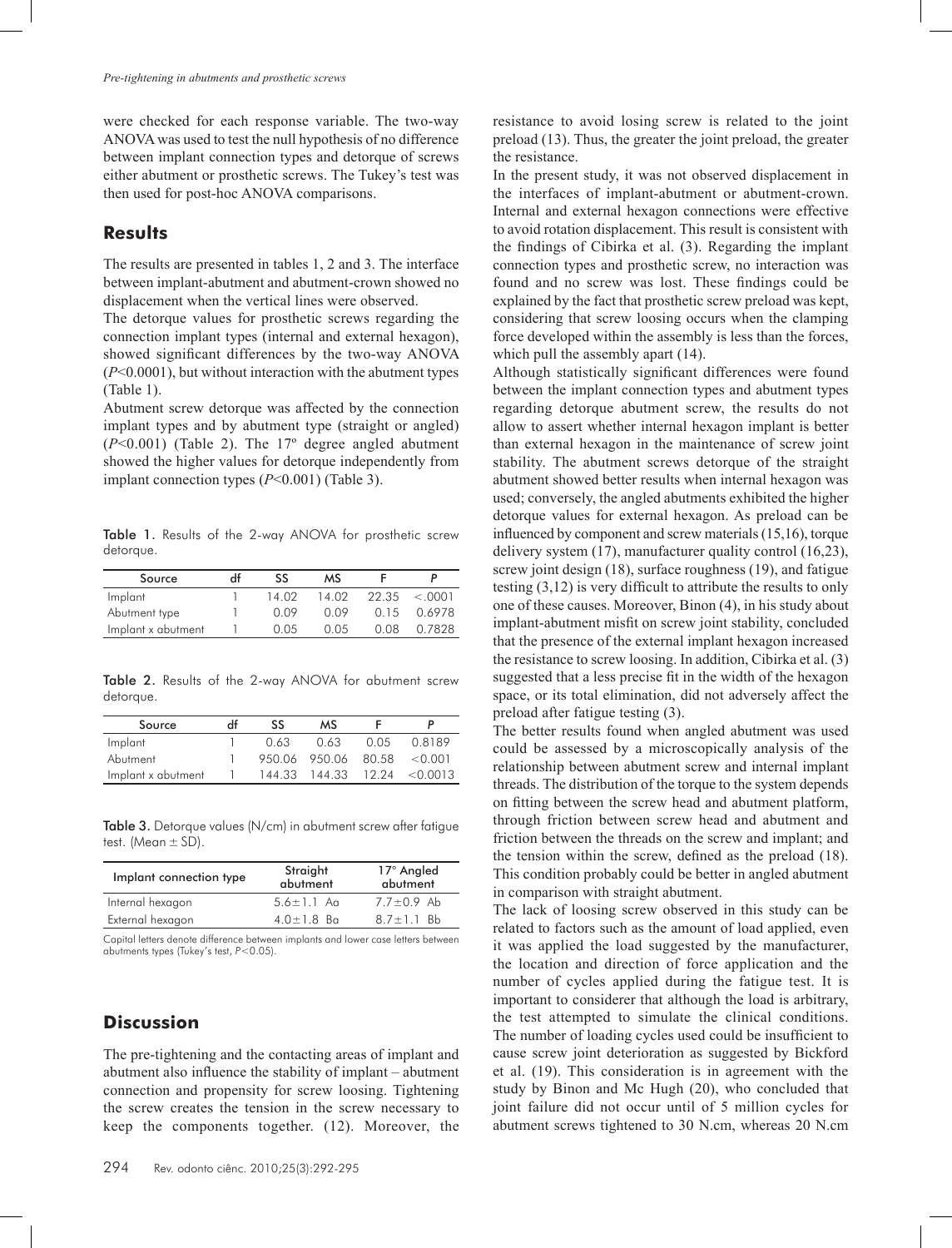were checked for each response variable. The two-way ANOVA was used to test the null hypothesis of no difference between implant connection types and detorque of screws either abutment or prosthetic screws. The Tukey's test was then used for post-hoc ANOVA comparisons.

#### **Results**

The results are presented in tables 1, 2 and 3. The interface between implant-abutment and abutment-crown showed no displacement when the vertical lines were observed.

The detorque values for prosthetic screws regarding the connection implant types (internal and external hexagon), showed significant differences by the two-way ANOVA (*P*<0.0001), but without interaction with the abutment types (Table 1).

Abutment screw detorque was affected by the connection implant types and by abutment type (straight or angled) (*P*<0.001) (Table 2). The 17º degree angled abutment showed the higher values for detorque independently from implant connection types (*P*<0.001) (Table 3).

Table 1. Results of the 2-way ANOVA for prosthetic screw detorque.

| Source             | df | SS    | мs    |       |         |
|--------------------|----|-------|-------|-------|---------|
| Implant            |    | 14 02 | 14.02 | 22.35 | < .0001 |
| Abutment type      |    | 0.09  | 0.09  | 0.15  | 0.6978  |
| Implant x abutment |    | 0.05  | O 0.5 | 0.08  | 0.7828  |

Table 2. Results of the 2-way ANOVA for abutment screw detorque.

| Source             | Ηf | SS   | мs                               |      |                                   |
|--------------------|----|------|----------------------------------|------|-----------------------------------|
| Implant            |    | 0.63 | 0.63                             | 0.05 | 0.8189                            |
| Abutment           |    |      | $950.06$ $950.06$ $80.58$ <0.001 |      |                                   |
| Implant x abutment |    |      |                                  |      | $144.33$ $144.33$ $12.24$ <0.0013 |

Table 3. Detorque values (N/cm) in abutment screw after fatigue test. (Mean  $\pm$  SD).

| Implant connection type | Straight<br>abutment | 17° Angled<br>abutment |  |
|-------------------------|----------------------|------------------------|--|
| Internal hexagon        | $5.6 \pm 1.1$ Ag     | $7.7 \pm 0.9$ Ab       |  |
| External hexagon        | $4.0 \pm 1.8$ Ba     | $8.7 \pm 1.1$ Bb       |  |
|                         |                      |                        |  |

Capital letters denote difference between implants and lower case letters between abutments types (Tukey's test, *P*<0.05).

# **Discussion**

The pre-tightening and the contacting areas of implant and abutment also influence the stability of implant – abutment connection and propensity for screw loosing. Tightening the screw creates the tension in the screw necessary to keep the components together. (12). Moreover, the

resistance to avoid losing screw is related to the joint preload (13). Thus, the greater the joint preload, the greater the resistance.

In the present study, it was not observed displacement in the interfaces of implant-abutment or abutment-crown. Internal and external hexagon connections were effective to avoid rotation displacement. This result is consistent with the findings of Cibirka et al. (3). Regarding the implant connection types and prosthetic screw, no interaction was found and no screw was lost. These findings could be explained by the fact that prosthetic screw preload was kept, considering that screw loosing occurs when the clamping force developed within the assembly is less than the forces, which pull the assembly apart  $(14)$ .

Although statistically significant differences were found between the implant connection types and abutment types regarding detorque abutment screw, the results do not allow to assert whether internal hexagon implant is better than external hexagon in the maintenance of screw joint stability. The abutment screws detorque of the straight abutment showed better results when internal hexagon was used; conversely, the angled abutments exhibited the higher detorque values for external hexagon. As preload can be influenced by component and screw materials (15,16), torque delivery system (17), manufacturer quality control (16,23), screw joint design (18), surface roughness (19), and fatigue testing (3,12) is very difficult to attribute the results to only one of these causes. Moreover, Binon (4), in his study about implant-abutment misfit on screw joint stability, concluded that the presence of the external implant hexagon increased the resistance to screw loosing. In addition, Cibirka et al. (3) suggested that a less precise fit in the width of the hexagon space, or its total elimination, did not adversely affect the preload after fatigue testing (3).

The better results found when angled abutment was used could be assessed by a microscopically analysis of the relationship between abutment screw and internal implant threads. The distribution of the torque to the system depends on fitting between the screw head and abutment platform, through friction between screw head and abutment and friction between the threads on the screw and implant; and the tension within the screw, defined as the preload (18). This condition probably could be better in angled abutment in comparison with straight abutment.

The lack of loosing screw observed in this study can be related to factors such as the amount of load applied, even it was applied the load suggested by the manufacturer, the location and direction of force application and the number of cycles applied during the fatigue test. It is important to considerer that although the load is arbitrary, the test attempted to simulate the clinical conditions. The number of loading cycles used could be insufficient to cause screw joint deterioration as suggested by Bickford et al. (19). This consideration is in agreement with the study by Binon and Mc Hugh (20), who concluded that joint failure did not occur until of 5 million cycles for abutment screws tightened to 30 N.cm, whereas 20 N.cm